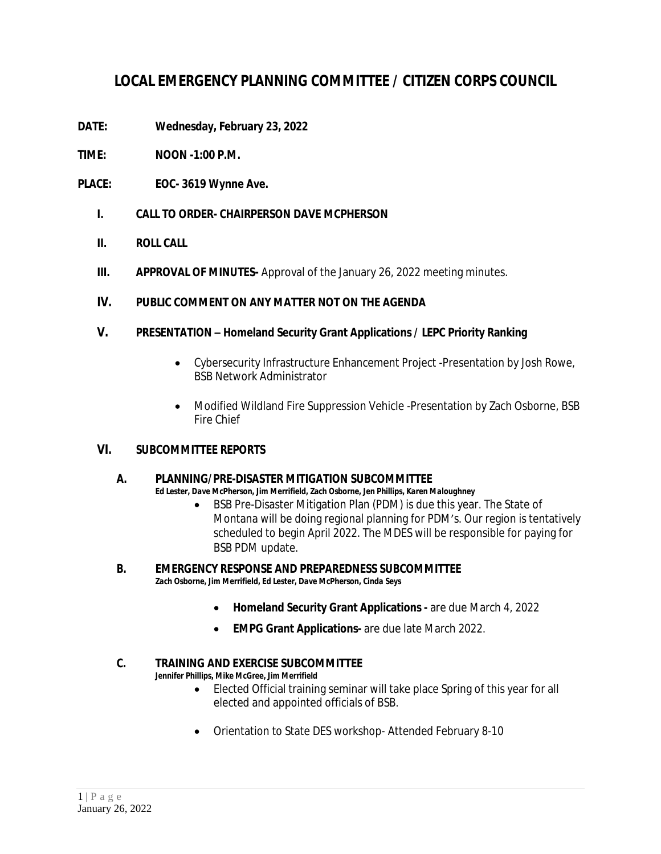# **LOCAL EMERGENCY PLANNING COMMITTEE / CITIZEN CORPS COUNCIL**

- **DATE: Wednesday, February 23, 2022**
- **TIME: NOON -1:00 P.M.**
- **PLACE: EOC- 3619 Wynne Ave.**
	- **I. CALL TO ORDER- CHAIRPERSON DAVE MCPHERSON**
	- **II. ROLL CALL**
	- **III. APPROVAL OF MINUTES-** Approval of the January 26, 2022 meeting minutes.

# **IV. PUBLIC COMMENT ON ANY MATTER NOT ON THE AGENDA**

# **V. PRESENTATION – Homeland Security Grant Applications / LEPC Priority Ranking**

- Cybersecurity Infrastructure Enhancement Project -Presentation by Josh Rowe, BSB Network Administrator
- Modified Wildland Fire Suppression Vehicle -Presentation by Zach Osborne, BSB Fire Chief

# **VI. SUBCOMMITTEE REPORTS**

# **A. PLANNING/PRE-DISASTER MITIGATION SUBCOMMITTEE**

*Ed Lester, Dave McPherson, Jim Merrifield, Zach Osborne, Jen Phillips, Karen Maloughney*

• BSB Pre-Disaster Mitigation Plan (PDM) is due this year. The State of Montana will be doing regional planning for PDM's. Our region is tentatively scheduled to begin April 2022. The MDES will be responsible for paying for BSB PDM update.

#### **B. EMERGENCY RESPONSE AND PREPAREDNESS SUBCOMMITTEE** *Zach Osborne, Jim Merrifield, Ed Lester, Dave McPherson, Cinda Seys*

- **Homeland Security Grant Applications -** are due March 4, 2022
- **EMPG Grant Applications-** are due late March 2022.

# **C. TRAINING AND EXERCISE SUBCOMMITTEE**

*Jennifer Phillips, Mike McGree, Jim Merrifield*

- Elected Official training seminar will take place Spring of this year for all elected and appointed officials of BSB.
- Orientation to State DES workshop- Attended February 8-10